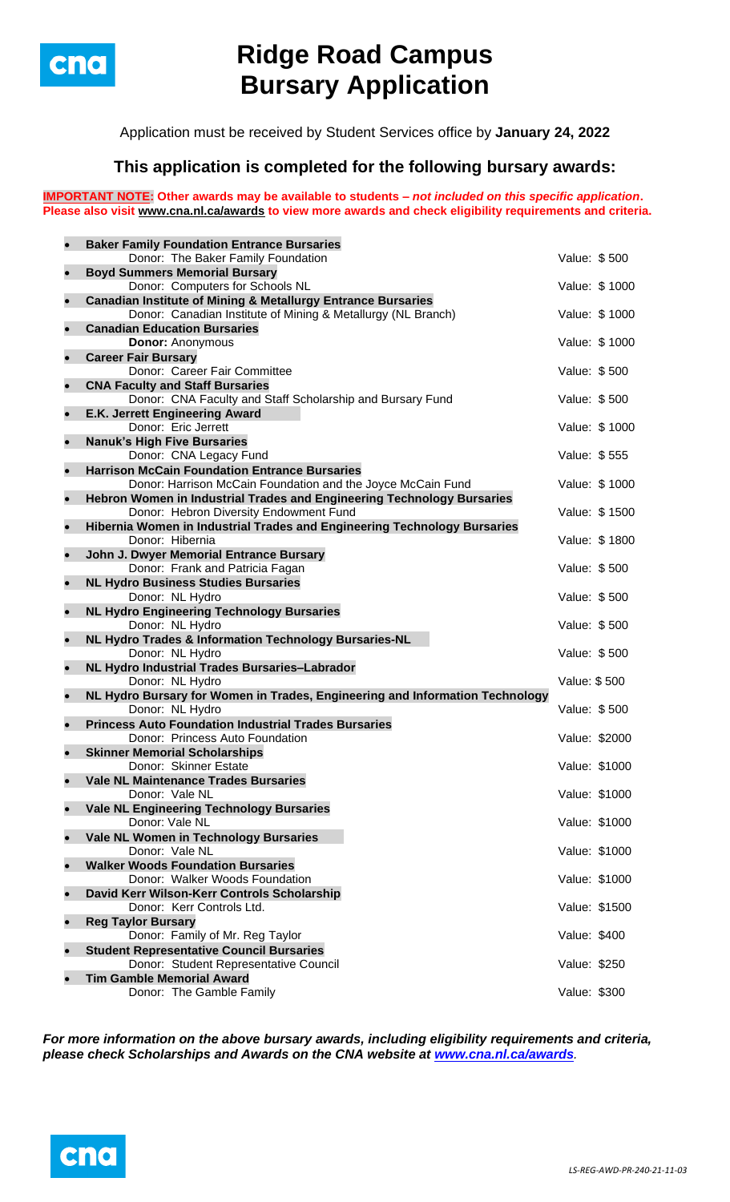

# **Ridge Road Campus Bursary Application**

Application must be received by Student Services office by **January 24, 2022**

## **This application is completed for the following bursary awards:**

**IMPORTANT NOTE: Other awards may be available to students –** *not included on this specific application***. Please also visit [www.cna.nl.ca/awards](http://www.cna.nl.ca/awards) to view more awards and check eligibility requirements and criteria.**

|           | <b>Baker Family Foundation Entrance Bursaries</b>                                              |               |               |
|-----------|------------------------------------------------------------------------------------------------|---------------|---------------|
|           | Donor: The Baker Family Foundation                                                             | Value: \$500  |               |
| $\bullet$ | <b>Boyd Summers Memorial Bursary</b>                                                           |               |               |
|           | Donor: Computers for Schools NL                                                                |               | Value: \$1000 |
| $\bullet$ | <b>Canadian Institute of Mining &amp; Metallurgy Entrance Bursaries</b>                        |               |               |
|           | Donor: Canadian Institute of Mining & Metallurgy (NL Branch)                                   |               | Value: \$1000 |
| $\bullet$ | <b>Canadian Education Bursaries</b>                                                            |               |               |
|           | <b>Donor: Anonymous</b>                                                                        |               | Value: \$1000 |
| $\bullet$ | <b>Career Fair Bursary</b><br>Donor: Career Fair Committee                                     | Value: \$500  |               |
| $\bullet$ | <b>CNA Faculty and Staff Bursaries</b>                                                         |               |               |
|           | Donor: CNA Faculty and Staff Scholarship and Bursary Fund                                      | Value: \$500  |               |
| $\bullet$ | E.K. Jerrett Engineering Award                                                                 |               |               |
|           | Donor: Eric Jerrett                                                                            |               | Value: \$1000 |
| $\bullet$ | <b>Nanuk's High Five Bursaries</b>                                                             |               |               |
|           | Donor: CNA Legacy Fund                                                                         | Value: \$555  |               |
| $\bullet$ | <b>Harrison McCain Foundation Entrance Bursaries</b>                                           |               |               |
|           | Donor: Harrison McCain Foundation and the Joyce McCain Fund                                    |               | Value: \$1000 |
| $\bullet$ | Hebron Women in Industrial Trades and Engineering Technology Bursaries                         |               |               |
|           | Donor: Hebron Diversity Endowment Fund                                                         |               | Value: \$1500 |
| $\bullet$ | Hibernia Women in Industrial Trades and Engineering Technology Bursaries                       |               |               |
|           | Donor: Hibernia                                                                                |               | Value: \$1800 |
| $\bullet$ | John J. Dwyer Memorial Entrance Bursary                                                        | Value: \$500  |               |
| $\bullet$ | Donor: Frank and Patricia Fagan<br><b>NL Hydro Business Studies Bursaries</b>                  |               |               |
|           | Donor: NL Hydro                                                                                | Value: \$500  |               |
| $\bullet$ | <b>NL Hydro Engineering Technology Bursaries</b>                                               |               |               |
|           | Donor: NL Hydro                                                                                | Value: \$500  |               |
| $\bullet$ | NL Hydro Trades & Information Technology Bursaries-NL                                          |               |               |
|           | Donor: NL Hydro                                                                                | Value: \$500  |               |
| $\bullet$ | NL Hydro Industrial Trades Bursaries-Labrador                                                  |               |               |
|           | Donor: NL Hydro                                                                                | Value: \$500  |               |
| $\bullet$ | NL Hydro Bursary for Women in Trades, Engineering and Information Technology                   |               |               |
| $\bullet$ | Donor: NL Hydro                                                                                | Value: \$500  |               |
|           | <b>Princess Auto Foundation Industrial Trades Bursaries</b><br>Donor: Princess Auto Foundation | Value: \$2000 |               |
| $\bullet$ | <b>Skinner Memorial Scholarships</b>                                                           |               |               |
|           | Donor: Skinner Estate                                                                          | Value: \$1000 |               |
|           | <b>Vale NL Maintenance Trades Bursaries</b>                                                    |               |               |
|           | Donor: Vale NL                                                                                 |               | Value: \$1000 |
| $\bullet$ | <b>Vale NL Engineering Technology Bursaries</b>                                                |               |               |
|           | Donor: Vale NL                                                                                 |               | Value: \$1000 |
| $\bullet$ | Vale NL Women in Technology Bursaries                                                          |               |               |
|           | Donor: Vale NL                                                                                 | Value: \$1000 |               |
|           | <b>Walker Woods Foundation Bursaries</b>                                                       |               |               |
|           | Donor: Walker Woods Foundation                                                                 | Value: \$1000 |               |
| $\bullet$ | David Kerr Wilson-Kerr Controls Scholarship<br>Donor: Kerr Controls Ltd.                       | Value: \$1500 |               |
| $\bullet$ | <b>Reg Taylor Bursary</b>                                                                      |               |               |
|           | Donor: Family of Mr. Reg Taylor                                                                | Value: \$400  |               |
| $\bullet$ | <b>Student Representative Council Bursaries</b>                                                |               |               |
|           | Donor: Student Representative Council                                                          | Value: \$250  |               |
|           | <b>Tim Gamble Memorial Award</b>                                                               |               |               |
|           | Donor: The Gamble Family                                                                       | Value: \$300  |               |

*For more information on the above bursary awards, including eligibility requirements and criteria, please check Scholarships and Awards on the CNA website at [www.cna.nl.ca/awards](http://www.cna.nl.ca/awards).*